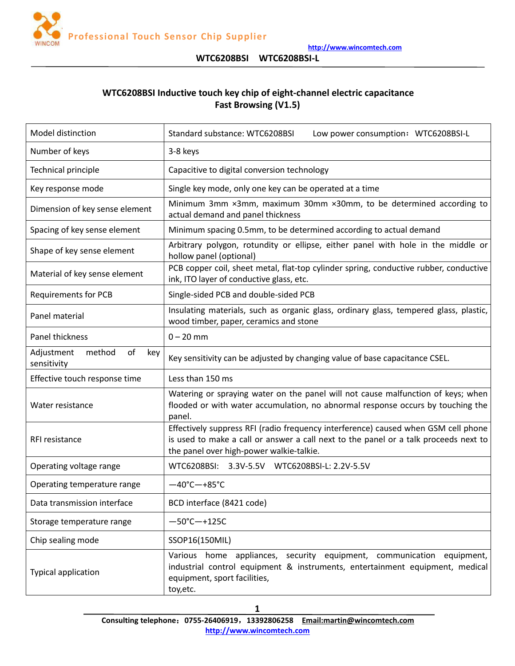

# **WTC6208BSI Inductive touch key chip of eight-channel electric capacitance Fast Browsing (V1.5)**

| Model distinction                                | Standard substance: WTC6208BSI<br>Low power consumption: WTC6208BSI-L                                                                                                                                                  |  |  |
|--------------------------------------------------|------------------------------------------------------------------------------------------------------------------------------------------------------------------------------------------------------------------------|--|--|
| Number of keys                                   | 3-8 keys                                                                                                                                                                                                               |  |  |
| Technical principle                              | Capacitive to digital conversion technology                                                                                                                                                                            |  |  |
| Key response mode                                | Single key mode, only one key can be operated at a time                                                                                                                                                                |  |  |
| Dimension of key sense element                   | Minimum 3mm ×3mm, maximum 30mm ×30mm, to be determined according to<br>actual demand and panel thickness                                                                                                               |  |  |
| Spacing of key sense element                     | Minimum spacing 0.5mm, to be determined according to actual demand                                                                                                                                                     |  |  |
| Shape of key sense element                       | Arbitrary polygon, rotundity or ellipse, either panel with hole in the middle or<br>hollow panel (optional)                                                                                                            |  |  |
| Material of key sense element                    | PCB copper coil, sheet metal, flat-top cylinder spring, conductive rubber, conductive<br>ink, ITO layer of conductive glass, etc.                                                                                      |  |  |
| <b>Requirements for PCB</b>                      | Single-sided PCB and double-sided PCB                                                                                                                                                                                  |  |  |
| Panel material                                   | Insulating materials, such as organic glass, ordinary glass, tempered glass, plastic,<br>wood timber, paper, ceramics and stone                                                                                        |  |  |
| Panel thickness                                  | $0 - 20$ mm                                                                                                                                                                                                            |  |  |
| method<br>of<br>Adjustment<br>key<br>sensitivity | Key sensitivity can be adjusted by changing value of base capacitance CSEL.                                                                                                                                            |  |  |
| Effective touch response time                    | Less than 150 ms                                                                                                                                                                                                       |  |  |
| Water resistance                                 | Watering or spraying water on the panel will not cause malfunction of keys; when<br>flooded or with water accumulation, no abnormal response occurs by touching the<br>panel.                                          |  |  |
| RFI resistance                                   | Effectively suppress RFI (radio frequency interference) caused when GSM cell phone<br>is used to make a call or answer a call next to the panel or a talk proceeds next to<br>the panel over high-power walkie-talkie. |  |  |
| Operating voltage range                          | WTC6208BSI: 3.3V-5.5V WTC6208BSI-L: 2.2V-5.5V                                                                                                                                                                          |  |  |
| Operating temperature range                      | $-40^{\circ}$ C $-+85^{\circ}$ C                                                                                                                                                                                       |  |  |
| Data transmission interface                      | BCD interface (8421 code)                                                                                                                                                                                              |  |  |
| Storage temperature range                        | $-50^{\circ}$ C $-+125C$                                                                                                                                                                                               |  |  |
| Chip sealing mode                                | SSOP16(150MIL)                                                                                                                                                                                                         |  |  |
| Typical application                              | Various home appliances, security equipment, communication equipment,<br>industrial control equipment & instruments, entertainment equipment, medical<br>equipment, sport facilities,<br>toy, etc.                     |  |  |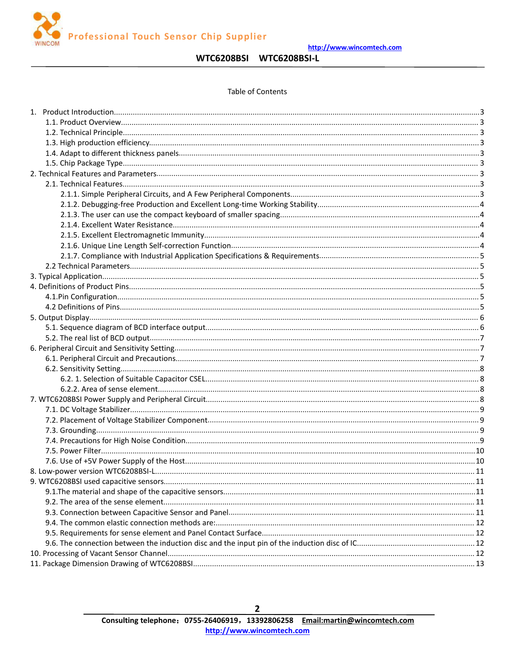**Professional Touch Sensor Chip Supplier** 

http://www.wincomtech.com

# WTC6208BSI WTC6208BSI-L

#### **Table of Contents**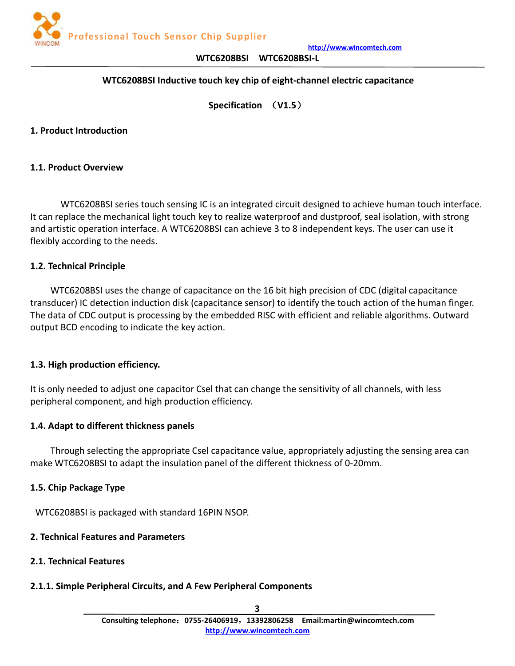

## **WTC6208BSI Inductive touch key chip of eight-channel electric capacitance**

**Specification** (**V1.5**)

### <span id="page-2-1"></span><span id="page-2-0"></span>**1. Product Introduction**

### **1.1. Product Overview**

WTC6208BSI series touch sensing IC is an integrated circuit designed to achieve human touch interface. It can replace the mechanical light touch key to realize waterproof and dustproof, seal isolation, with strong and artistic operation interface. A WTC6208BSI can achieve 3 to 8 independent keys. The user can use it flexibly according to the needs.

### **1.2. Technical Principle**

WTC6208BSI uses the change of capacitance on the 16 bit high precision of CDC (digital capacitance transducer) IC detection induction disk (capacitance sensor) to identify the touch action of the human finger. The data of CDC output is processing by the embedded RISC with efficient and reliable algorithms. Outward output BCD encoding to indicate the key action.

### **1.3. High production efficiency.**

It is only needed to adjust one capacitor Csel that can change the sensitivity of all channels, with less peripheral component, and high production efficiency.

### **1.4. Adapt to different thickness panels**

Through selecting the appropriate Csel capacitance value, appropriately adjusting the sensing area can make WTC6208BSI to adapt the insulation panel of the different thickness of 0-20mm.

### **1.5. Chip Package Type**

WTC6208BSI is packaged with standard 16PIN NSOP.

## **2. Technical Features and Parameters**

## **2.1. Technical Features**

## **2.1.1. Simple Peripheral Circuits, and A Few Peripheral Components**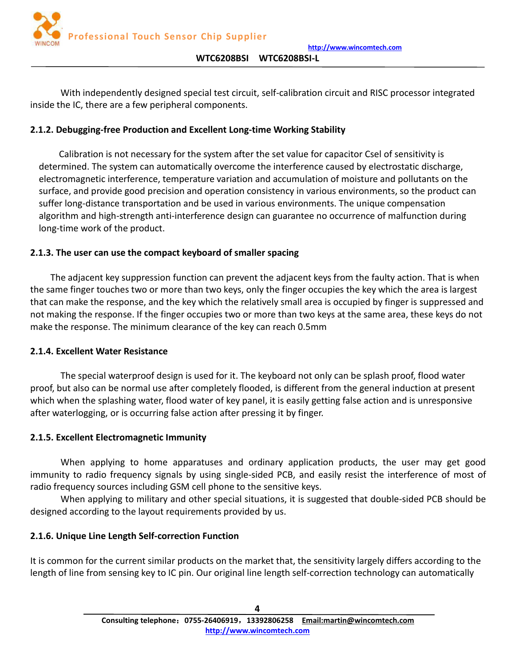

<span id="page-3-0"></span>With independently designed special test circuit, self-calibration circuit and RISC processor integrated inside the IC, there are a few peripheral components.

# **2.1.2. Debugging-free Production and Excellent Long-time Working Stability**

Calibration is not necessary for the system after the set value for capacitor Csel of sensitivity is determined. The system can automatically overcome the interference caused by electrostatic discharge, electromagnetic interference, temperature variation and accumulation of moisture and pollutants on the surface, and provide good precision and operation consistency in various environments, so the product can suffer long-distance transportation and be used in various environments. The unique compensation algorithm and high-strength anti-interference design can guarantee no occurrence of malfunction during long-time work of the product.

## **2.1.3. The user can use the compact keyboard of smaller spacing**

The adjacent key suppression function can prevent the adjacent keys from the faulty action. That is when the same finger touches two or more than two keys, only the finger occupies the key which the area is largest that can make the response, and the key which the relatively small area is occupied by finger is suppressed and not making the response. If the finger occupies two or more than two keys at the same area, these keys do not make the response. The minimum clearance of the key can reach 0.5mm

## **2.1.4. Excellent Water Resistance**

The special waterproof design is used for it. The keyboard not only can be splash proof, flood water proof, but also can be normal use after completely flooded, is different from the general induction at present which when the splashing water, flood water of key panel, it is easily getting false action and is unresponsive after waterlogging, or is occurring false action after pressing it by finger.

## **2.1.5. Excellent Electromagnetic Immunity**

When applying to home apparatuses and ordinary application products, the user may get good immunity to radio frequency signals by using single-sided PCB, and easily resist the interference of most of radio frequency sources including GSM cell phone to the sensitive keys.

When applying to military and other special situations, it is suggested that double-sided PCB should be designed according to the layout requirements provided by us.

## **2.1.6. Unique Line Length Self-correction Function**

It is common for the current similar products on the market that, the sensitivity largely differs according to the length of line from sensing key to IC pin. Our original line length self-correction technology can automatically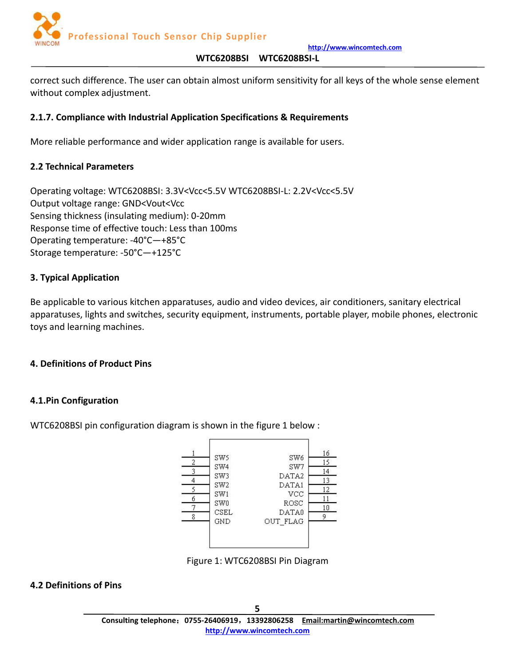

<span id="page-4-0"></span>correct such difference. The user can obtain almost uniform sensitivity for all keys of the whole sense element without complex adjustment.

## **2.1.7. Compliance with Industrial Application Specifications & Requirements**

More reliable performance and wider application range is available for users.

## **2.2 Technical Parameters**

Operating voltage: WTC6208BSI: 3.3V<Vcc<5.5V WTC6208BSI-L: 2.2V<Vcc<5.5V Output voltage range: GND<Vout<Vcc Sensing thickness (insulating medium): 0-20mm Response time of effective touch: Less than 100ms Operating temperature: -40°C—+85°C Storage temperature: -50°C—+125°C

## **3. Typical Application**

Be applicable to various kitchen apparatuses, audio and video devices, air conditioners, sanitary electrical apparatuses, lights and switches, security equipment, instruments, portable player, mobile phones, electronic toys and learning machines.

## **4. Definitions of Product Pins**

## **4.1.Pin Configuration**

WTC6208BSI pin configuration diagram is shown in the figure 1 below :



Figure 1: WTC6208BSI Pin Diagram

## **4.2 Definitions of Pins**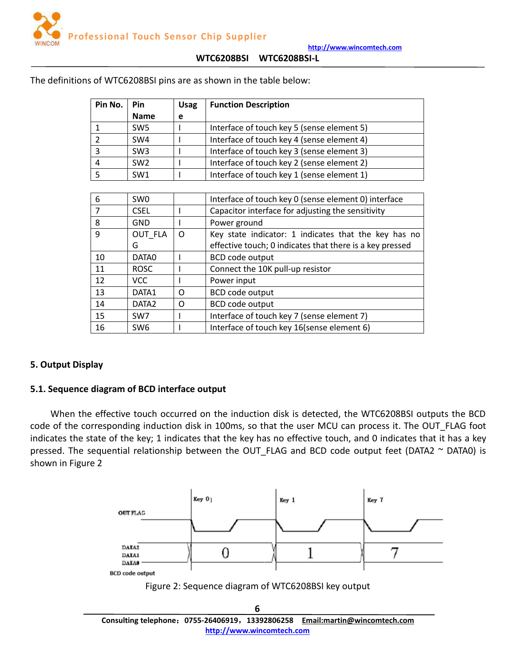

| Pin No.      | <b>Pin</b>      | <b>Usag</b> | <b>Function Description</b>                              |  |  |
|--------------|-----------------|-------------|----------------------------------------------------------|--|--|
|              | <b>Name</b>     | e           |                                                          |  |  |
| $\mathbf{1}$ | SW <sub>5</sub> |             | Interface of touch key 5 (sense element 5)               |  |  |
| 2            | SW4             |             | Interface of touch key 4 (sense element 4)               |  |  |
| 3            | SW <sub>3</sub> |             | Interface of touch key 3 (sense element 3)               |  |  |
| 4            | SW <sub>2</sub> |             | Interface of touch key 2 (sense element 2)               |  |  |
| 5            | SW1             |             | Interface of touch key 1 (sense element 1)               |  |  |
|              |                 |             |                                                          |  |  |
| 6            | SW <sub>0</sub> |             | Interface of touch key 0 (sense element 0) interface     |  |  |
| 7            | <b>CSEL</b>     |             | Capacitor interface for adjusting the sensitivity        |  |  |
| 8            | <b>GND</b>      |             | Power ground                                             |  |  |
| 9            | OUT FLA         | $\Omega$    | Key state indicator: 1 indicates that the key has no     |  |  |
|              | G               |             | effective touch; 0 indicates that there is a key pressed |  |  |
| 10           | DATA0           |             | <b>BCD</b> code output                                   |  |  |
| 11           | <b>ROSC</b>     |             | Connect the 10K pull-up resistor                         |  |  |
| 12           | <b>VCC</b>      |             | Power input                                              |  |  |
| 13           | DATA1           | $\Omega$    | BCD code output                                          |  |  |

<span id="page-5-0"></span>The definitions of WTC6208BSI pins are as shown in the table below:

14 | DATA2 | O | BCD code output

15 | SW7 | I | Interface of touch key 7 (sense element 7) 16 | SW6 | I | Interface of touch key 16(sense element 6)

## **5. Output Display**

## **5.1. Sequence diagram of BCD interface output**

When the effective touch occurred on the induction disk is detected, the WTC6208BSI outputs the BCD code of the corresponding induction disk in 100ms, so that the user MCU can process it. The OUT\_FLAG foot indicates the state of the key; 1 indicates that the key has no effective touch, and 0 indicates that it has a key pressed. The sequential relationship between the OUT\_FLAG and BCD code output feet (DATA2  $\sim$  DATA0) is shown in Figure 2

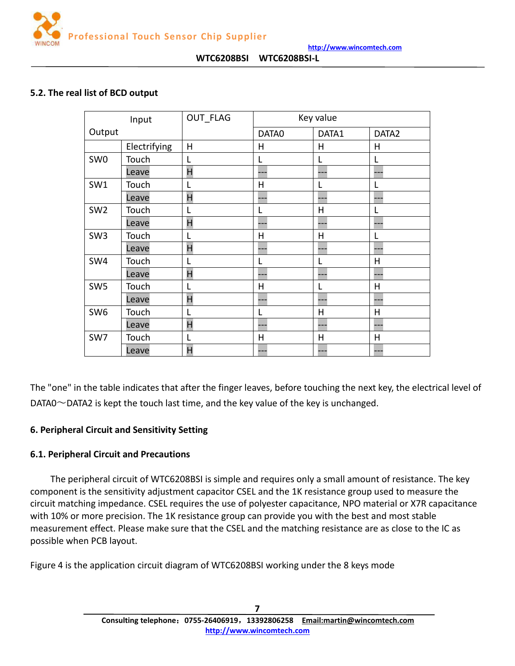

### <span id="page-6-0"></span>**5.2. The real list of BCD output**

|                 | Input        | OUT FLAG | Key value                |              |                   |
|-----------------|--------------|----------|--------------------------|--------------|-------------------|
| Output          |              |          | DATA0                    | DATA1        | DATA <sub>2</sub> |
|                 | Electrifying | H        | Н                        | H            | H                 |
| SW <sub>0</sub> | Touch        | L        |                          | L            | L                 |
|                 | Leave        | H        | ---                      |              |                   |
| SW1             | Touch        | L        | Н                        | L            | L                 |
|                 | Leave        | H        | $\overline{\phantom{a}}$ | ---          | ---               |
| SW <sub>2</sub> | Touch        |          |                          | H            | L                 |
|                 | Leave        | H        | <u>.</u>                 | ---          | ---               |
| SW <sub>3</sub> | Touch        | L        | H                        | H            |                   |
|                 | Leave        | H        | <u>.</u>                 | ---          |                   |
| SW4             | Touch        | L        |                          | L            | H                 |
|                 | Leave        | H        | ۵                        |              |                   |
| SW <sub>5</sub> | Touch        | L        | H                        | L            | H                 |
|                 | Leave        | H        | <u>.</u>                 | ---          |                   |
| SW <sub>6</sub> | Touch        |          |                          | H            | H                 |
|                 | Leave        | H        | ---                      | ---          |                   |
| SW7             | Touch        |          | H                        | $\mathsf{H}$ | H                 |
|                 | Leave        | H        | $\overline{a}$           |              |                   |

The "one" in the table indicates that after the finger leaves, before touching the next key, the electrical level of DATA0 $\sim$ DATA2 is kept the touch last time, and the key value of the key is unchanged.

### **6. Peripheral Circuit and Sensitivity Setting**

### **6.1. Peripheral Circuit and Precautions**

The peripheral circuit of WTC6208BSI is simple and requires only a small amount of resistance. The key component is the sensitivity adjustment capacitor CSEL and the 1K resistance group used to measure the circuit matching impedance. CSEL requires the use of polyester capacitance, NPO material or X7R capacitance with 10% or more precision. The 1K resistance group can provide you with the best and most stable measurement effect. Please make sure that the CSEL and the matching resistance are as close to the IC as possible when PCB layout.

Figure 4 is the application circuit diagram of WTC6208BSI working under the 8 keys mode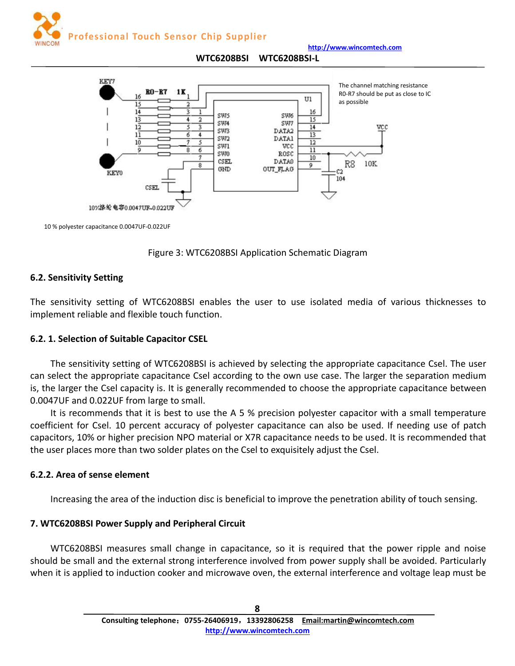

**http://www.wincomtech.com**

#### **WTC6208BSI WTC6208BSI-L**

<span id="page-7-0"></span>

10 % polyester capacitance 0.0047UF-0.022UF



## **6.2. Sensitivity Setting**

The sensitivity setting of WTC6208BSI enables the user to use isolated media of various thicknesses to implement reliable and flexible touch function.

## **6.2. 1. Selection of Suitable Capacitor CSEL**

The sensitivity setting of WTC6208BSI is achieved by selecting the appropriate capacitance Csel. The user can select the appropriate capacitance Csel according to the own use case. The larger the separation medium is, the larger the Csel capacity is. It is generally recommended to choose the appropriate capacitance between 0.0047UF and 0.022UF from large to small.

It is recommends that it is best to use the A 5 % precision polyester capacitor with a small temperature coefficient for Csel. 10 percent accuracy of polyester capacitance can also be used. If needing use of patch capacitors, 10% or higher precision NPO materialor X7R capacitance needs to be used. It is recommended that the user places more than two solder plates on the Csel to exquisitely adjust the Csel.

## **6.2.2. Area of sense element**

Increasing the area of the induction disc is beneficial to improve the penetration ability of touch sensing.

# **7. WTC6208BSI Power Supply and Peripheral Circuit**

WTC6208BSI measures small change in capacitance, so it is required that the power ripple and noise should be small and the external strong interference involved from power supply shall be avoided. Particularly when it is applied to induction cooker and microwave oven, the external interference and voltage leap must be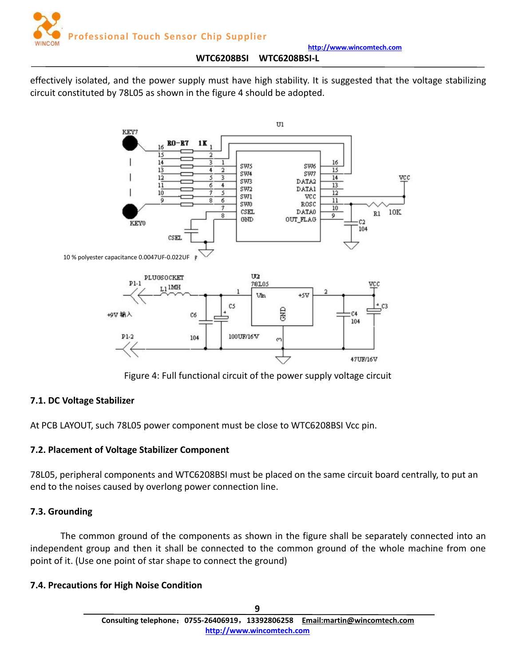

<span id="page-8-0"></span>effectively isolated, and the power supply must have high stability. It is suggested that the voltage stabilizing circuit constituted by 78L05 as shown in the figure 4 should be adopted.



Figure 4: Full functional circuit of the power supply voltage circuit

# **7.1. DC Voltage Stabilizer**

At PCB LAYOUT, such 78L05 power component must be close to WTC6208BSI Vcc pin.

# **7.2. Placement of Voltage Stabilizer Component**

78L05, peripheral components and WTC6208BSI must be placed on the same circuit board centrally, to put an end to the noises caused by overlong power connection line.

## **7.3. Grounding**

The common ground of the components as shown in the figure shall be separately connected into an independent group and then it shall be connected to the common ground of the whole machine from one point of it. (Use one point of star shape to connect the ground)

## **7.4. Precautions for High Noise Condition**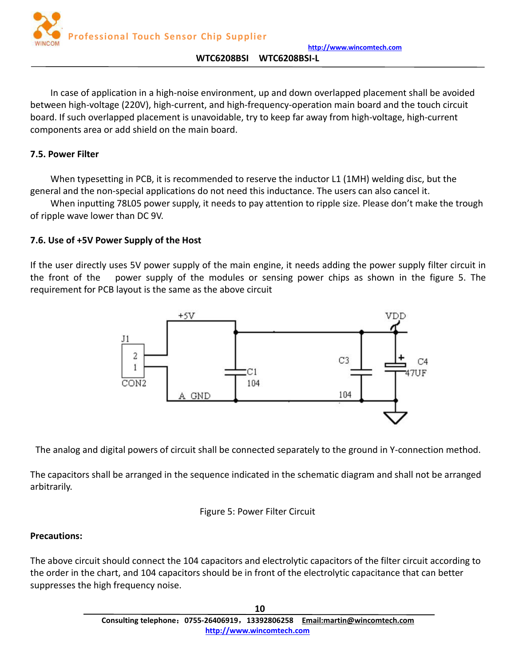

<span id="page-9-0"></span>In case of application in a high-noise environment, up and down overlapped placement shall be avoided between high-voltage (220V), high-current, and high-frequency-operation main board and the touch circuit board. If such overlapped placement is unavoidable, try to keep far away from high-voltage, high-current components area or add shield on the main board.

## **7.5. Power Filter**

When typesetting in PCB, it is recommended to reserve the inductor L1 (1MH) welding disc, but the general and the non-special applications do not need this inductance. The users can also cancel it.

When inputting 78L05 power supply, it needs to pay attention to ripple size. Please don't make the trough of ripple wave lower than DC 9V.

## **7.6. Use of +5V Power Supply of the Host**

If the user directly uses 5V power supply of the main engine, it needs adding the power supply filter circuit in the front of the power supply of the modules or sensing power chips as shown in the figure 5. The requirement for PCB layout is the same as the above circuit



The analog and digital powers of circuit shall be connected separately to the ground in Y-connection method.

The capacitors shall be arranged in the sequence indicated in the schematic diagram and shall not be arranged arbitrarily.

### Figure 5: Power Filter Circuit

### **Precautions:**

The above circuit should connect the 104 capacitors and electrolytic capacitors of the filter circuit according to the order in the chart, and 104 capacitors should be in front of the electrolytic capacitance that can better suppresses the high frequency noise.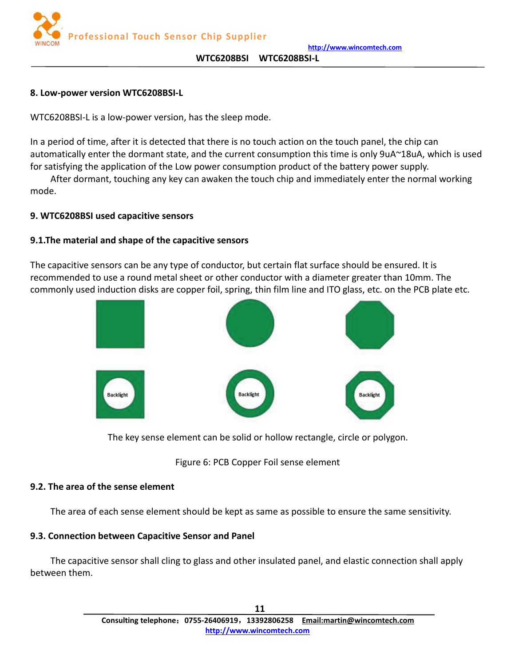

**http://www.wincomtech.com**

#### **WTC6208BSI WTC6208BSI-L**

### <span id="page-10-0"></span>**8. Low-power version WTC6208BSI-L**

WTC6208BSI-L is a low-power version, has the sleep mode.

In a period of time, after it is detected that there is no touch action on the touch panel, the chip can automatically enter the dormant state, and the current consumption this time is only 9uA~18uA, which is used for satisfying the application of the Low power consumption product of the battery power supply.

After dormant, touching any key can awaken the touch chip and immediately enter the normal working mode.

## **9. WTC6208BSI used capacitive sensors**

## **9.1.The material and shape of the capacitive sensors**

The capacitive sensors can be any type of conductor, but certain flat surface should be ensured. It is recommended to use a round metal sheet or other conductor with a diameter greater than 10mm. The commonly used induction disks are copper foil, spring, thin film line and ITO glass, etc. on the PCB plate etc.



The key sense element can be solid or hollow rectangle, circle or polygon.

# Figure 6: PCB Copper Foil sense element

## **9.2. The area of the sense element**

The area of each sense element should be kept as same as possible to ensure the same sensitivity.

## **9.3. Connection between Capacitive Sensor and Panel**

The capacitive sensor shall cling to glass and other insulated panel, and elastic connection shall apply between them.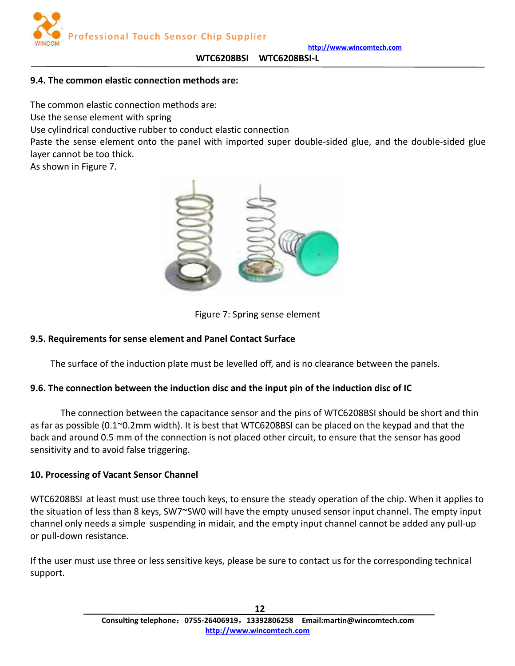

## <span id="page-11-0"></span>**9.4. The common elastic connection methods are:**

The common elastic connection methods are:

Use the sense element with spring

Use cylindrical conductive rubber to conduct elastic connection

Paste the sense element onto the panel with imported super double-sided glue, and the double-sided glue layer cannot be too thick.

As shown in Figure 7.



Figure 7: Spring sense element

# **9.5. Requirements for sense element and Panel Contact Surface**

The surface of the induction plate must be levelled off, and is no clearance between the panels.

## **9.6. The connection between the induction disc and the input pin of the induction disc of IC**

The connection between the capacitance sensor and the pins of WTC6208BSI should be short and thin as far as possible (0.1~0.2mm width). It is best that WTC6208BSI can be placed on the keypad and that the back and around 0.5 mm of the connection is not placed other circuit, to ensure that the sensor has good sensitivity and to avoid false triggering.

## **10. Processing of Vacant Sensor Channel**

WTC6208BSI at least must use three touch keys, to ensure the steady operation of the chip. When it applies to the situation of less than 8 keys, SW7~SW0 will have the empty unused sensor input channel. The empty input channel only needs a simple suspending in midair, and the empty input channel cannot be added any pull-up or pull-down resistance.

If the user must use three or less sensitive keys, please be sure to contact us for the corresponding technical support.